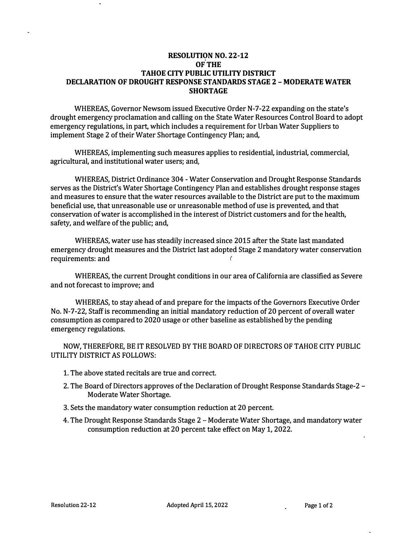## **RESOLUTION NO. 22-12 OF THE TAHOE CITY PUBLIC UTILITY DISTRICT DECLARATION OF DROUGHT RESPONSE STANDARDS STAGE 2 - MODERATE WATER SHORTAGE**

WHEREAS, Governor Newsom issued Executive Order N-7-22 expanding on the state's drought emergency proclamation and calling on the State Water Resources Control Board to adopt emergency regulations, in part, which includes a requirement for Urban Water Suppliers to implement Stage 2 of their Water Shortage Contingency Plan; and,

WHEREAS, implementing such measures applies to residential, industrial, commercial, agricultural, and institutional water users; and,

WHEREAS, District Ordinance 304 - Water Conservation and Drought Response Standards serves as the District's Water Shortage Contingency Plan and establishes drought response stages and measures to ensure that the water resources available to the District are put to the maximum beneficial use, that unreasonable use or unreasonable method of use is prevented, and that conservation of water is accomplished in the interest of District customers and for the health, safety, and welfare of the public; and,

WHEREAS, water use has steadily increased since 2015 after the State last mandated emergency drought measures and the District last adopted Stage 2 mandatory water conservation requirements: and (1)

WHEREAS, the current Drought conditions in our area of California are classified as Severe and not forecast to improve; and

WHEREAS, to stay ahead of and prepare for the impacts of the Governors Executive Order No. N-7-22, Staff is recommending an initial mandatory reduction of 20 percent of overall water consumption as compared to 2020 usage or other baseline as established by the pending emergency regulations.

NOW, THEREFORE, BE IT RESOLVED BY THE BOARD OF DIRECTORS OF TAHOE CITY PUBLIC UTILITY DISTRICT AS FOLLOWS:

- 1. The above stated recitals are true and correct.
- 2. The Board of Directors approves of the Declaration of Drought Response Standards Stage-2 Moderate Water Shortage.
- 3. Sets the mandatory water consumption reduction at 20 percent.
- 4. The Drought Response Standards Stage 2 Moderate Water Shortage, and mandatory water consumption reduction at 20 percent take effect on May 1, 2022.